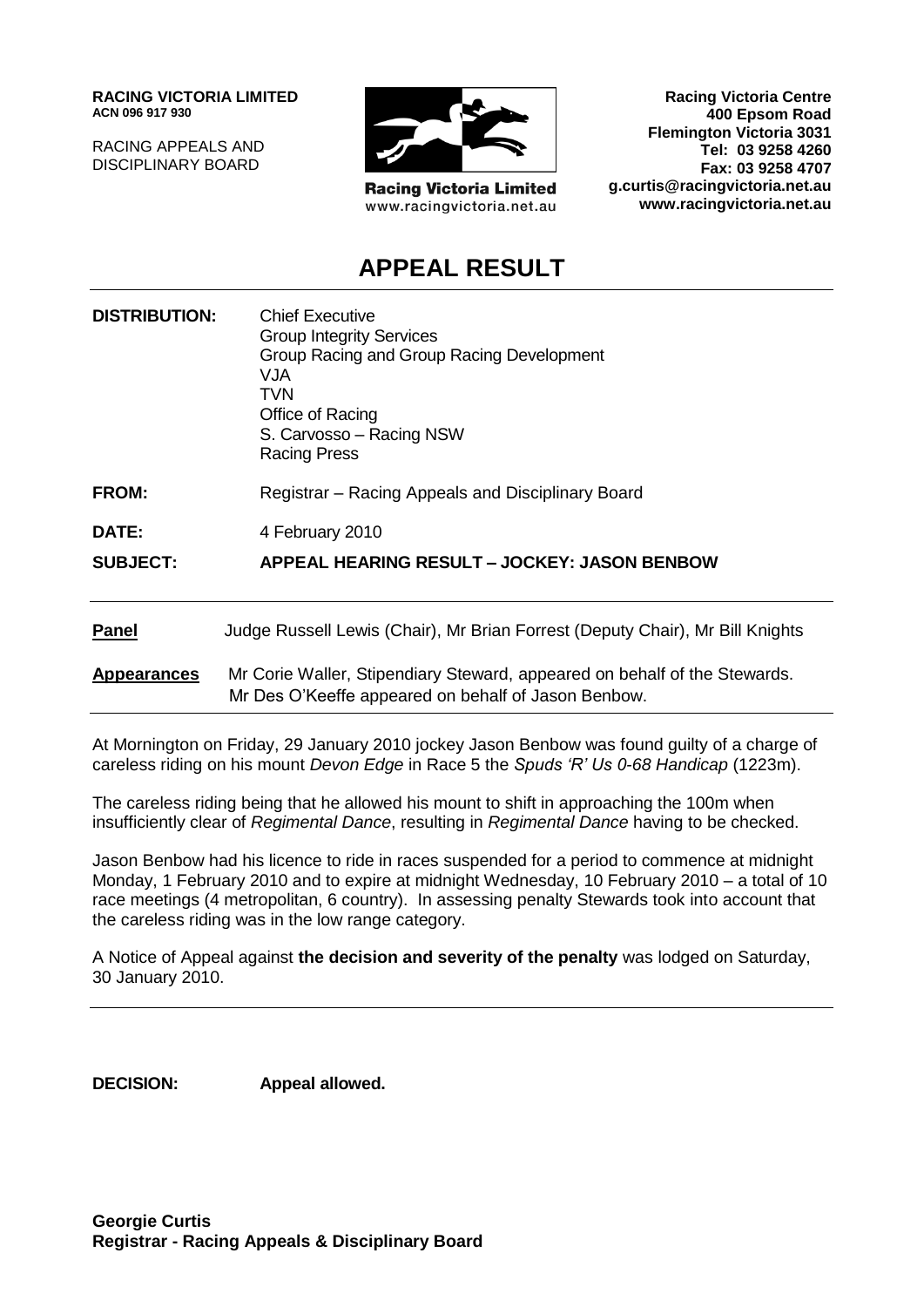**RACING VICTORIA LIMITED ACN 096 917 930**

RACING APPEALS AND DISCIPLINARY BOARD



**Racing Victoria Limited** www.racingvictoria.net.au

**Racing Victoria Centre 400 Epsom Road Flemington Victoria 3031 Tel: 03 9258 4260 Fax: 03 9258 4707 g.curtis@racingvictoria.net.au www.racingvictoria.net.au**

# **APPEAL RESULT**

| <b>DISTRIBUTION:</b> | <b>Chief Executive</b><br><b>Group Integrity Services</b><br>Group Racing and Group Racing Development<br><b>VJA</b><br><b>TVN</b><br>Office of Racing<br>S. Carvosso - Racing NSW<br><b>Racing Press</b> |
|----------------------|-----------------------------------------------------------------------------------------------------------------------------------------------------------------------------------------------------------|
| <b>FROM:</b>         | Registrar – Racing Appeals and Disciplinary Board                                                                                                                                                         |
| DATE:                | 4 February 2010                                                                                                                                                                                           |
| <b>SUBJECT:</b>      | APPEAL HEARING RESULT - JOCKEY: JASON BENBOW                                                                                                                                                              |
| <b>Panel</b>         | Judge Russell Lewis (Chair), Mr Brian Forrest (Deputy Chair), Mr Bill Knights                                                                                                                             |
| <b>Appearances</b>   | Mr Corie Waller, Stipendiary Steward, appeared on behalf of the Stewards.<br>Mr Des O'Keeffe appeared on behalf of Jason Benbow.                                                                          |

At Mornington on Friday, 29 January 2010 jockey Jason Benbow was found guilty of a charge of careless riding on his mount *Devon Edge* in Race 5 the *Spuds 'R' Us 0-68 Handicap* (1223m).

The careless riding being that he allowed his mount to shift in approaching the 100m when insufficiently clear of *Regimental Dance*, resulting in *Regimental Dance* having to be checked.

Jason Benbow had his licence to ride in races suspended for a period to commence at midnight Monday, 1 February 2010 and to expire at midnight Wednesday, 10 February 2010 – a total of 10 race meetings (4 metropolitan, 6 country). In assessing penalty Stewards took into account that the careless riding was in the low range category.

A Notice of Appeal against **the decision and severity of the penalty** was lodged on Saturday, 30 January 2010.

**DECISION: Appeal allowed.**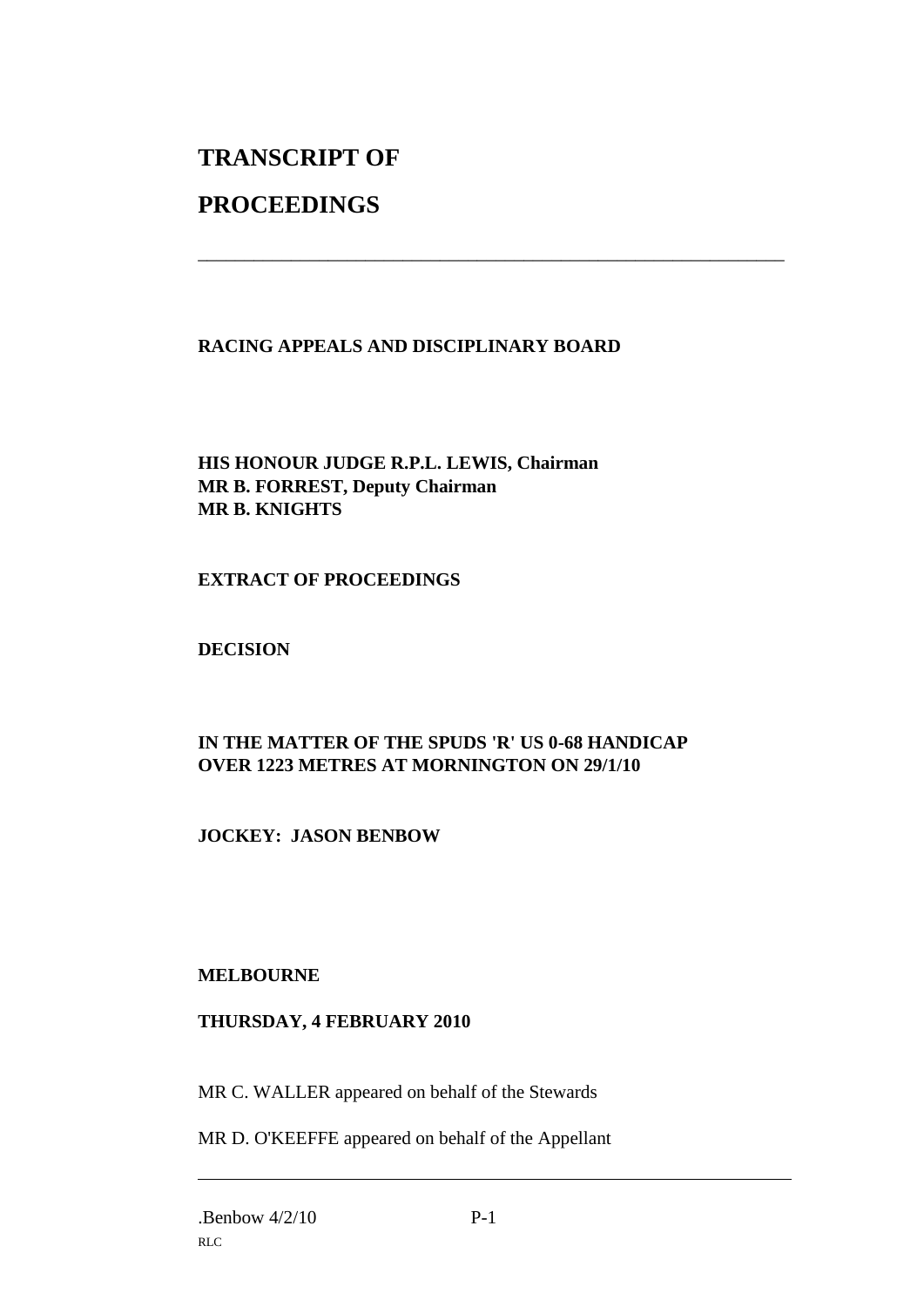# **TRANSCRIPT OF**

# **PROCEEDINGS**

## **RACING APPEALS AND DISCIPLINARY BOARD**

\_\_\_\_\_\_\_\_\_\_\_\_\_\_\_\_\_\_\_\_\_\_\_\_\_\_\_\_\_\_\_\_\_\_\_\_\_\_\_\_\_\_\_\_\_\_\_\_\_\_\_\_\_\_\_\_\_\_\_\_\_\_\_

## **HIS HONOUR JUDGE R.P.L. LEWIS, Chairman MR B. FORREST, Deputy Chairman MR B. KNIGHTS**

#### **EXTRACT OF PROCEEDINGS**

## **DECISION**

## **IN THE MATTER OF THE SPUDS 'R' US 0-68 HANDICAP OVER 1223 METRES AT MORNINGTON ON 29/1/10**

## **JOCKEY: JASON BENBOW**

#### **MELBOURNE**

#### **THURSDAY, 4 FEBRUARY 2010**

MR C. WALLER appeared on behalf of the Stewards

MR D. O'KEEFFE appeared on behalf of the Appellant